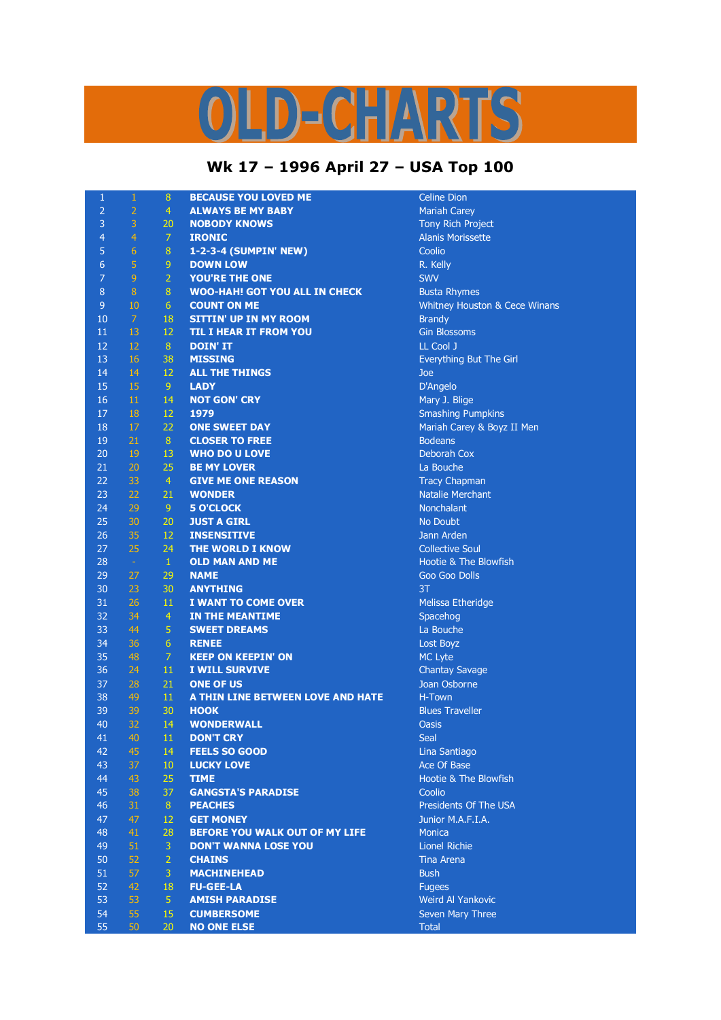## D-CHARTS I,

## **Wk 17 – 1996 April 27 – USA Top 100**

| $\mathbf{1}$   | 1              | 8              | <b>BECAUSE YOU LOVED ME</b>          | <b>Celine Dion</b>            |
|----------------|----------------|----------------|--------------------------------------|-------------------------------|
| $\overline{a}$ | $\overline{2}$ | 4              | <b>ALWAYS BE MY BABY</b>             | <b>Mariah Carey</b>           |
| 3              | 3              | 20             | <b>NOBODY KNOWS</b>                  | <b>Tony Rich Project</b>      |
| $\overline{4}$ | $\overline{4}$ | 7              | <b>IRONIC</b>                        | <b>Alanis Morissette</b>      |
| 5              | $\overline{6}$ | 8              | 1-2-3-4 (SUMPIN' NEW)                | Coolio                        |
| $\overline{6}$ | 5              | 9              | <b>DOWN LOW</b>                      | R. Kelly                      |
| $\overline{7}$ | $\overline{9}$ | $\overline{2}$ | <b>YOU'RE THE ONE</b>                | <b>SWV</b>                    |
| $\bf 8$        | $\bf 8$        | $\bf 8$        | <b>WOO-HAH! GOT YOU ALL IN CHECK</b> | <b>Busta Rhymes</b>           |
| 9              | 10             | 6              | <b>COUNT ON ME</b>                   | Whitney Houston & Cece Winans |
| 10             | $\overline{7}$ | 18             | <b>SITTIN' UP IN MY ROOM</b>         | <b>Brandy</b>                 |
| 11             | 13             | 12             | <b>TIL I HEAR IT FROM YOU</b>        | <b>Gin Blossoms</b>           |
| 12             | 12             | 8              | <b>DOIN' IT</b>                      | LL Cool J                     |
| 13             | 16             | 38             | <b>MISSING</b>                       | Everything But The Girl       |
| 14             | 14             | 12             | <b>ALL THE THINGS</b>                | Joe                           |
| 15             | 15             | 9 <sup>°</sup> | <b>LADY</b>                          | D'Angelo                      |
| 16             | $11\,$         | 14             | <b>NOT GON' CRY</b>                  | Mary J. Blige                 |
| 17             | 18             | 12             | 1979                                 | <b>Smashing Pumpkins</b>      |
| 18             | 17             | 22             | <b>ONE SWEET DAY</b>                 | Mariah Carey & Boyz II Men    |
| 19             | 21             | 8              | <b>CLOSER TO FREE</b>                | <b>Bodeans</b>                |
| 20             | 19             | 13             | <b>WHO DO U LOVE</b>                 | <b>Deborah Cox</b>            |
| 21             | 20             | 25             | <b>BE MY LOVER</b>                   | La Bouche                     |
| 22             | 33             | $\overline{4}$ | <b>GIVE ME ONE REASON</b>            | <b>Tracy Chapman</b>          |
| 23             | 22             | 21             | <b>WONDER</b>                        | <b>Natalie Merchant</b>       |
| 24             | 29             | 9 <sup>°</sup> | <b>5 O'CLOCK</b>                     | Nonchalant                    |
| 25             | 30             | 20             | <b>JUST A GIRL</b>                   | No Doubt                      |
| 26             | 35             | 12             | <b>INSENSITIVE</b>                   | Jann Arden                    |
| 27             | 25             | 24             | <b>THE WORLD I KNOW</b>              | <b>Collective Soul</b>        |
| 28             | $\sim$         | $\mathbf{1}$   | <b>OLD MAN AND ME</b>                | Hootie & The Blowfish         |
| 29             | 27             | 29             | <b>NAME</b>                          | Goo Goo Dolls                 |
| 30             | 23             | 30             | <b>ANYTHING</b>                      | 3T                            |
| 31             | 26             |                | I WANT TO COME OVER                  |                               |
| 32             | 34             | 11             |                                      | Melissa Etheridge             |
|                |                | $\overline{4}$ | <b>IN THE MEANTIME</b>               | Spacehog                      |
| 33             | 44<br>36       | 5<br>6         | <b>SWEET DREAMS</b>                  | La Bouche                     |
| 34             | 48             | $\overline{7}$ | <b>RENEE</b>                         | Lost Boyz                     |
| 35             |                |                | <b>KEEP ON KEEPIN' ON</b>            | MC Lyte                       |
| 36             | 24             | 11             | <b>I WILL SURVIVE</b>                | <b>Chantay Savage</b>         |
| 37             | 28             | 21             | <b>ONE OF US</b>                     | Joan Osborne                  |
| 38             | 49             | 11             | A THIN LINE BETWEEN LOVE AND HATE    | H-Town                        |
| 39             | 39             | 30             | <b>HOOK</b>                          | <b>Blues Traveller</b>        |
| 40             | 32             | 14             | <b>WONDERWALL</b>                    | Oasis                         |
| 41             | 40             | 11             | <b>DON'T CRY</b>                     | Seal                          |
| 42             | 45             | 14             | <b>FEELS SO GOOD</b>                 | Lina Santiago                 |
| 43             | 37             | 10             | <b>LUCKY LOVE</b>                    | Ace Of Base                   |
| 44             | 43             | 25             | <b>TIME</b>                          | Hootie & The Blowfish         |
| 45             | 38             | 37             | <b>GANGSTA'S PARADISE</b>            | Coolio                        |
| 46             | 31             | 8              | <b>PEACHES</b>                       | Presidents Of The USA         |
| 47             | 47             | 12             | <b>GET MONEY</b>                     | Junior M.A.F.I.A.             |
| 48             | 41             | 28             | BEFORE YOU WALK OUT OF MY LIFE       | <b>Monica</b>                 |
| 49             | 51             | 3              | <b>DON'T WANNA LOSE YOU</b>          | <b>Lionel Richie</b>          |
| 50             | 52             | $\overline{2}$ | <b>CHAINS</b>                        | <b>Tina Arena</b>             |
| 51             | 57             | 3              | <b>MACHINEHEAD</b>                   | <b>Bush</b>                   |
| 52             | 42             | 18             | <b>FU-GEE-LA</b>                     | <b>Fugees</b>                 |
| 53             | 53             | 5 <sup>1</sup> | <b>AMISH PARADISE</b>                | Weird Al Yankovic             |
| 54             | 55             | 15             | <b>CUMBERSOME</b>                    | Seven Mary Three              |
| 55             | 50             | 20             | <b>NO ONE ELSE</b>                   | <b>Total</b>                  |